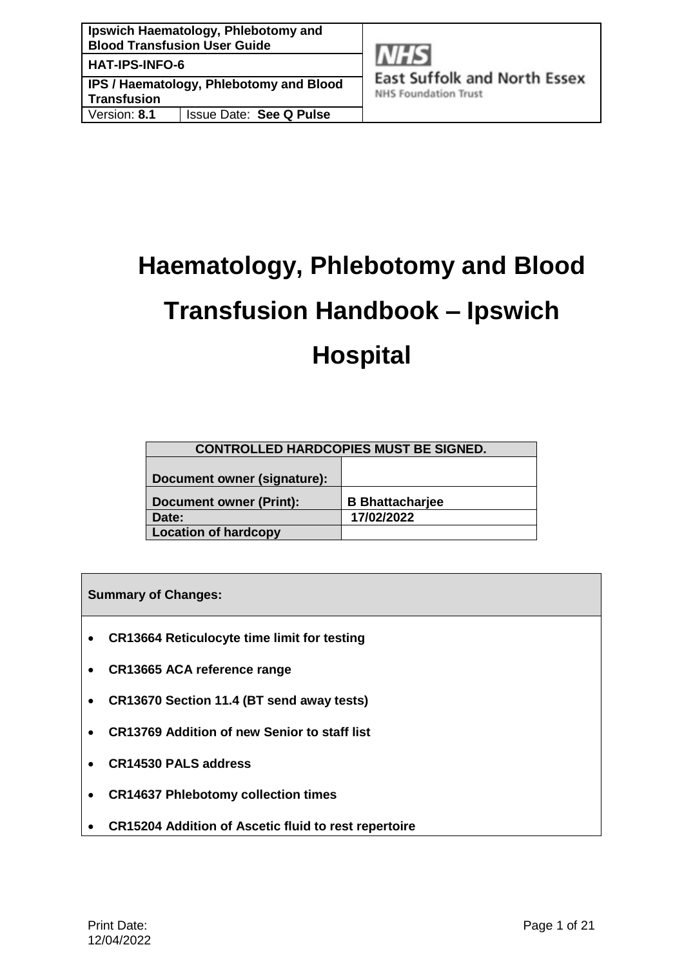**East Suffolk and North Essex NHS Foundation Trust** 

**Transfusion** Version: **8.1** Issue Date: **See Q Pulse**

# **Haematology, Phlebotomy and Blood Transfusion Handbook – Ipswich Hospital**

| <b>CONTROLLED HARDCOPIES MUST BE SIGNED.</b> |                        |  |
|----------------------------------------------|------------------------|--|
|                                              |                        |  |
| Document owner (signature):                  |                        |  |
|                                              |                        |  |
| <b>Document owner (Print):</b>               | <b>B</b> Bhattacharjee |  |
| Date:                                        | 17/02/2022             |  |
| <b>Location of hardcopy</b>                  |                        |  |

**Summary of Changes:**

- **CR13664 Reticulocyte time limit for testing**
- **CR13665 ACA reference range**
- **CR13670 Section 11.4 (BT send away tests)**
- **CR13769 Addition of new Senior to staff list**
- **CR14530 PALS address**
- **CR14637 Phlebotomy collection times**
- **CR15204 Addition of Ascetic fluid to rest repertoire**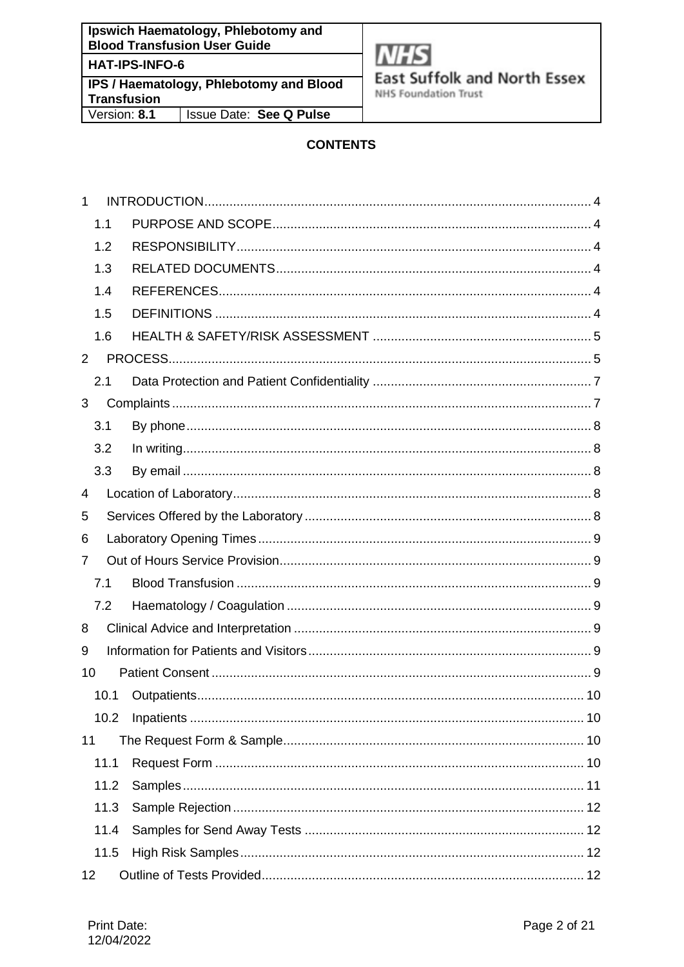**Ipswich Haematology, Phlebotomy and Blood Transfusion User Guide** HAT-IPS-INFO-6

**IPS / Haematology, Phlebotomy and Blood Transfusion** Version: 8.1 **Issue Date: See Q Pulse** 



**East Suffolk and North Essex** 

**NHS Foundation Trust** 

# **CONTENTS**

| 1              |      |  |
|----------------|------|--|
|                | 1.1  |  |
|                | 1.2  |  |
|                | 1.3  |  |
|                | 1.4  |  |
|                | 1.5  |  |
|                | 1.6  |  |
| $\overline{2}$ |      |  |
|                | 2.1  |  |
| 3              |      |  |
|                | 3.1  |  |
|                | 3.2  |  |
|                | 3.3  |  |
| 4              |      |  |
| 5              |      |  |
| 6              |      |  |
| 7              |      |  |
|                | 7.1  |  |
|                | 7.2  |  |
| 8              |      |  |
| 9              |      |  |
| 10             |      |  |
|                | 10.1 |  |
|                | 10.2 |  |
| 11             |      |  |
|                | 11.1 |  |
|                | 11.2 |  |
|                | 11.3 |  |
|                | 11.4 |  |
|                | 11.5 |  |
| 12             |      |  |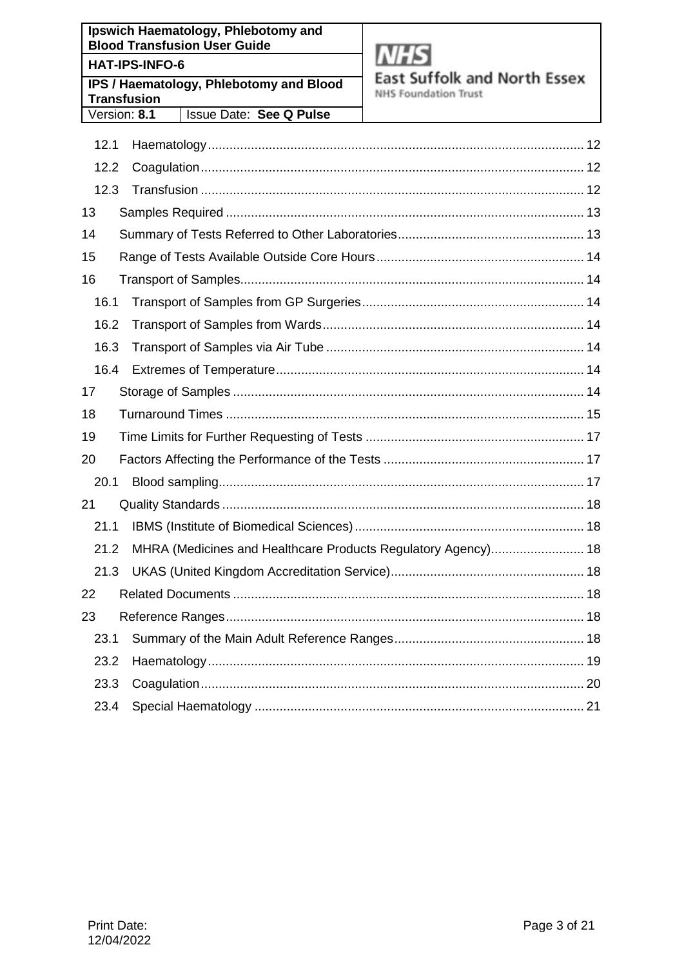**Ipswich Haematology, Phlebotomy and Blood Transfusion User Guide HAT-IPS-INFO-6 IPS / Haematology, Phlebotomy and Blood Transfusion** 

**Issue Date: See Q Pulse** 

Version: 8.1



**East Suffolk and North Essex** 

**NHS Foundation Trust** 

| 12.1 |                                                               |  |
|------|---------------------------------------------------------------|--|
| 12.2 |                                                               |  |
| 12.3 |                                                               |  |
| 13   |                                                               |  |
| 14   |                                                               |  |
| 15   |                                                               |  |
| 16   |                                                               |  |
| 16.1 |                                                               |  |
| 16.2 |                                                               |  |
| 16.3 |                                                               |  |
| 16.4 |                                                               |  |
| 17   |                                                               |  |
| 18   |                                                               |  |
| 19   |                                                               |  |
| 20   |                                                               |  |
| 20.1 |                                                               |  |
| 21   |                                                               |  |
| 21.1 |                                                               |  |
| 21.2 | MHRA (Medicines and Healthcare Products Regulatory Agency) 18 |  |
| 21.3 |                                                               |  |
| 22   |                                                               |  |
| 23   |                                                               |  |
| 23.1 |                                                               |  |
| 23.2 |                                                               |  |
| 23.3 |                                                               |  |
| 23.4 |                                                               |  |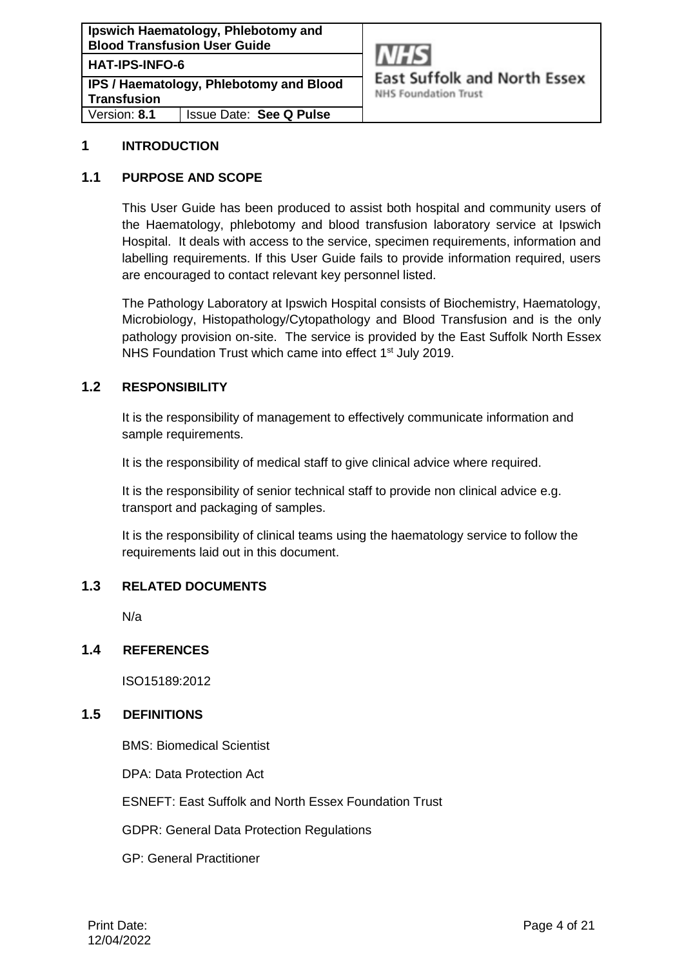**Ipswich Haematology, Phlebotomy and Blood Transfusion User Guide HAT-IPS-INFO-6 IPS / Haematology, Phlebotomy and Blood Transfusion**

Version: **8.1** Issue Date: **See Q Pulse**



**East Suffolk and North Essex** 

**NHS Foundation Trust** 

## <span id="page-3-0"></span>**1 INTRODUCTION**

#### <span id="page-3-1"></span>**1.1 PURPOSE AND SCOPE**

This User Guide has been produced to assist both hospital and community users of the Haematology, phlebotomy and blood transfusion laboratory service at Ipswich Hospital. It deals with access to the service, specimen requirements, information and labelling requirements. If this User Guide fails to provide information required, users are encouraged to contact relevant key personnel listed.

The Pathology Laboratory at Ipswich Hospital consists of Biochemistry, Haematology, Microbiology, Histopathology/Cytopathology and Blood Transfusion and is the only pathology provision on-site. The service is provided by the East Suffolk North Essex NHS Foundation Trust which came into effect 1<sup>st</sup> July 2019.

#### <span id="page-3-2"></span>**1.2 RESPONSIBILITY**

It is the responsibility of management to effectively communicate information and sample requirements.

It is the responsibility of medical staff to give clinical advice where required.

It is the responsibility of senior technical staff to provide non clinical advice e.g. transport and packaging of samples.

It is the responsibility of clinical teams using the haematology service to follow the requirements laid out in this document.

# <span id="page-3-3"></span>**1.3 RELATED DOCUMENTS**

N/a

#### <span id="page-3-4"></span>**1.4 REFERENCES**

ISO15189:2012

#### <span id="page-3-5"></span>**1.5 DEFINITIONS**

BMS: Biomedical Scientist

DPA: Data Protection Act

ESNEFT: East Suffolk and North Essex Foundation Trust

GDPR: General Data Protection Regulations

GP: General Practitioner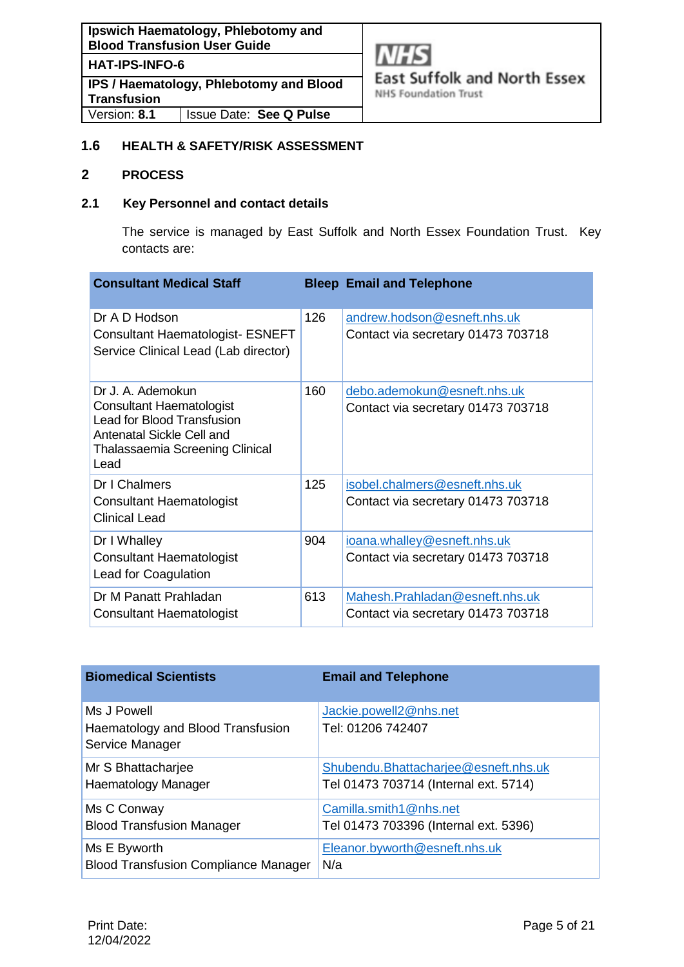**HAT-IPS-INFO-6**

**IPS / Haematology, Phlebotomy and Blood Transfusion** Version: **8.1** Issue Date: **See Q Pulse**



**East Suffolk and North Essex** 

**NHS Foundation Trust** 

# <span id="page-4-0"></span>**1.6 HEALTH & SAFETY/RISK ASSESSMENT**

# <span id="page-4-1"></span>**2 PROCESS**

# **2.1 Key Personnel and contact details**

The service is managed by East Suffolk and North Essex Foundation Trust. Key contacts are:

| <b>Consultant Medical Staff</b>                                                                                                                                   |     | <b>Bleep Email and Telephone</b>                                     |
|-------------------------------------------------------------------------------------------------------------------------------------------------------------------|-----|----------------------------------------------------------------------|
| Dr A D Hodson<br><b>Consultant Haematologist- ESNEFT</b><br>Service Clinical Lead (Lab director)                                                                  | 126 | andrew.hodson@esneft.nhs.uk<br>Contact via secretary 01473 703718    |
| Dr J. A. Ademokun<br><b>Consultant Haematologist</b><br><b>Lead for Blood Transfusion</b><br>Antenatal Sickle Cell and<br>Thalassaemia Screening Clinical<br>Lead | 160 | debo.ademokun@esneft.nhs.uk<br>Contact via secretary 01473 703718    |
| Dr I Chalmers<br><b>Consultant Haematologist</b><br><b>Clinical Lead</b>                                                                                          | 125 | isobel.chalmers@esneft.nhs.uk<br>Contact via secretary 01473 703718  |
| Dr I Whalley<br><b>Consultant Haematologist</b><br>Lead for Coagulation                                                                                           | 904 | ioana.whalley@esneft.nhs.uk<br>Contact via secretary 01473 703718    |
| Dr M Panatt Prahladan<br><b>Consultant Haematologist</b>                                                                                                          | 613 | Mahesh.Prahladan@esneft.nhs.uk<br>Contact via secretary 01473 703718 |

| <b>Biomedical Scientists</b>                                        | <b>Email and Telephone</b>                  |
|---------------------------------------------------------------------|---------------------------------------------|
| Ms J Powell<br>Haematology and Blood Transfusion<br>Service Manager | Jackie.powell2@nhs.net<br>Tel: 01206 742407 |
| Mr S Bhattacharjee                                                  | Shubendu. Bhattacharjee@esneft.nhs.uk       |
| Haematology Manager                                                 | Tel 01473 703714 (Internal ext. 5714)       |
| Ms C Conway                                                         | Camilla.smith1@nhs.net                      |
| <b>Blood Transfusion Manager</b>                                    | Tel 01473 703396 (Internal ext. 5396)       |
| Ms E Byworth                                                        | Eleanor.byworth@esneft.nhs.uk               |
| <b>Blood Transfusion Compliance Manager</b>                         | N/a                                         |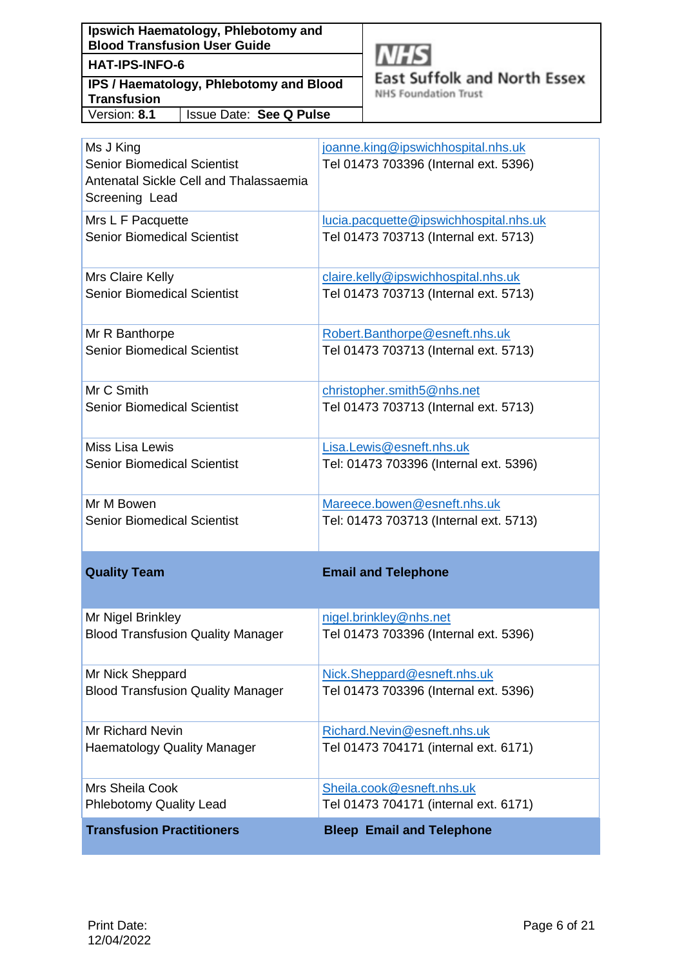**Ipswich Haematology, Phlebotomy and Blood Transfusion User Guide**

# **HAT-IPS-INFO-6**

**IPS / Haematology, Phlebotomy and Blood Transfusion** Version: **8.1** Issue Date: **See Q Pulse**



**East Suffolk and North Essex** 

**NHS Foundation Trust** 

| <b>Transfusion Practitioners</b>                                                                            | <b>Bleep Email and Telephone</b>                                            |
|-------------------------------------------------------------------------------------------------------------|-----------------------------------------------------------------------------|
| Mrs Sheila Cook                                                                                             | Sheila.cook@esneft.nhs.uk                                                   |
| <b>Phlebotomy Quality Lead</b>                                                                              | Tel 01473 704171 (internal ext. 6171)                                       |
| <b>Mr Richard Nevin</b>                                                                                     | Richard.Nevin@esneft.nhs.uk                                                 |
| <b>Haematology Quality Manager</b>                                                                          | Tel 01473 704171 (internal ext. 6171)                                       |
| Mr Nick Sheppard                                                                                            | Nick.Sheppard@esneft.nhs.uk                                                 |
| <b>Blood Transfusion Quality Manager</b>                                                                    | Tel 01473 703396 (Internal ext. 5396)                                       |
| Mr Nigel Brinkley                                                                                           | nigel.brinkley@nhs.net                                                      |
| <b>Blood Transfusion Quality Manager</b>                                                                    | Tel 01473 703396 (Internal ext. 5396)                                       |
| <b>Quality Team</b>                                                                                         | <b>Email and Telephone</b>                                                  |
| Mr M Bowen                                                                                                  | Mareece.bowen@esneft.nhs.uk                                                 |
| <b>Senior Biomedical Scientist</b>                                                                          | Tel: 01473 703713 (Internal ext. 5713)                                      |
| Miss Lisa Lewis                                                                                             | Lisa.Lewis@esneft.nhs.uk                                                    |
| <b>Senior Biomedical Scientist</b>                                                                          | Tel: 01473 703396 (Internal ext. 5396)                                      |
| Mr C Smith                                                                                                  | christopher.smith5@nhs.net                                                  |
| <b>Senior Biomedical Scientist</b>                                                                          | Tel 01473 703713 (Internal ext. 5713)                                       |
| Mr R Banthorpe                                                                                              | Robert.Banthorpe@esneft.nhs.uk                                              |
| <b>Senior Biomedical Scientist</b>                                                                          | Tel 01473 703713 (Internal ext. 5713)                                       |
| Mrs Claire Kelly                                                                                            | claire.kelly@ipswichhospital.nhs.uk                                         |
| <b>Senior Biomedical Scientist</b>                                                                          | Tel 01473 703713 (Internal ext. 5713)                                       |
| Mrs L F Pacquette                                                                                           | lucia.pacquette@ipswichhospital.nhs.uk                                      |
| <b>Senior Biomedical Scientist</b>                                                                          | Tel 01473 703713 (Internal ext. 5713)                                       |
| Ms J King<br><b>Senior Biomedical Scientist</b><br>Antenatal Sickle Cell and Thalassaemia<br>Screening Lead | joanne.king@ipswichhospital.nhs.uk<br>Tel 01473 703396 (Internal ext. 5396) |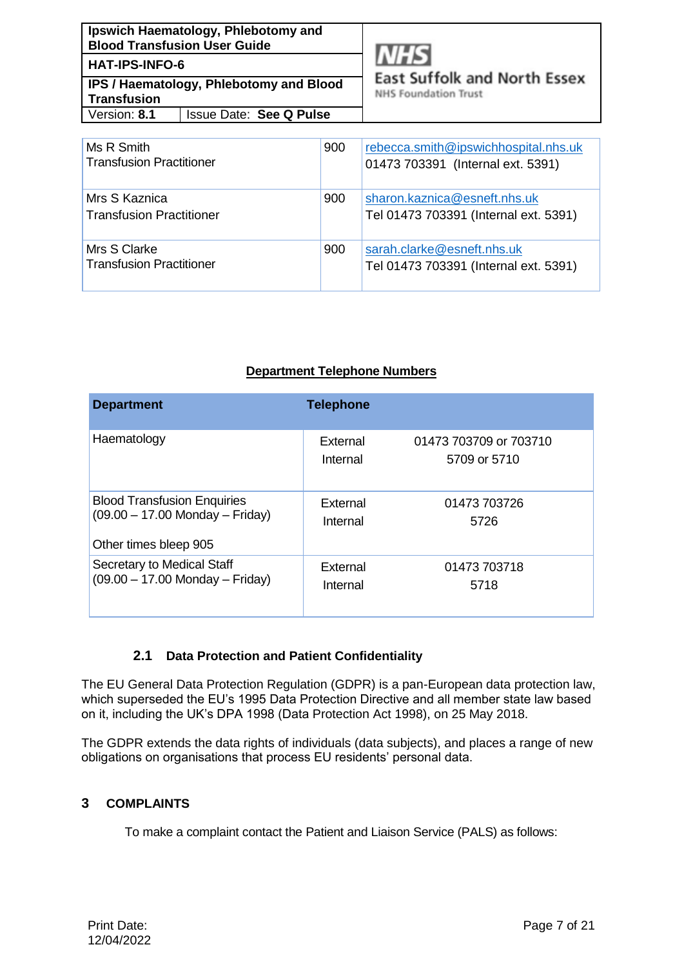| Ipswich Haematology, Phlebotomy and<br><b>Blood Transfusion User Guide</b> |                                |  |
|----------------------------------------------------------------------------|--------------------------------|--|
| <b>HAT-IPS-INFO-6</b>                                                      |                                |  |
| <b>IPS / Haematology, Phlebotomy and Blood</b><br><b>Transfusion</b>       |                                |  |
| Version: 8.1                                                               | <b>Issue Date: See Q Pulse</b> |  |



**East Suffolk and North Essex** 

**NHS Foundation Trust** 

| Ms R Smith<br><b>Transfusion Practitioner</b>    | 900 | rebecca.smith@ipswichhospital.nhs.uk<br>01473 703391 (Internal ext. 5391) |
|--------------------------------------------------|-----|---------------------------------------------------------------------------|
| Mrs S Kaznica<br><b>Transfusion Practitioner</b> | 900 | sharon.kaznica@esneft.nhs.uk<br>Tel 01473 703391 (Internal ext. 5391)     |
| Mrs S Clarke<br><b>Transfusion Practitioner</b>  | 900 | sarah.clarke@esneft.nhs.uk<br>Tel 01473 703391 (Internal ext. 5391)       |

# **Department Telephone Numbers**

| <b>Department</b>                                                                                | <b>Telephone</b>     |                                        |
|--------------------------------------------------------------------------------------------------|----------------------|----------------------------------------|
| Haematology                                                                                      | External<br>Internal | 01473 703709 or 703710<br>5709 or 5710 |
| <b>Blood Transfusion Enquiries</b><br>$(09.00 - 17.00$ Monday - Friday)<br>Other times bleep 905 | External<br>Internal | 01473 703726<br>5726                   |
| Secretary to Medical Staff<br>$(09.00 - 17.00$ Monday - Friday)                                  | External<br>Internal | 01473 703718<br>5718                   |

# **2.1 Data Protection and Patient Confidentiality**

<span id="page-6-0"></span>The EU General Data Protection Regulation (GDPR) is a pan-European data protection law, which superseded the EU's 1995 Data Protection Directive and all member state law based on it, including the UK's DPA 1998 (Data Protection Act 1998), on 25 May 2018.

The GDPR extends the data rights of individuals (data subjects), and places a range of new obligations on organisations that process EU residents' personal data.

# <span id="page-6-1"></span>**3 COMPLAINTS**

To make a complaint contact the Patient and Liaison Service (PALS) as follows: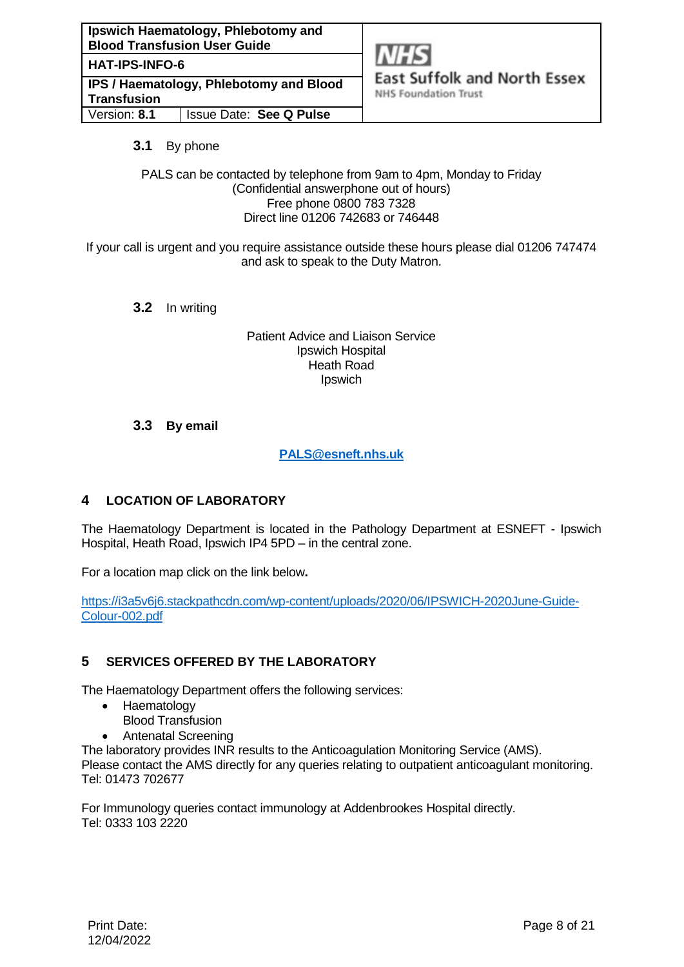**HAT-IPS-INFO-6**

**IPS / Haematology, Phlebotomy and Blood Transfusion** Version: **8.1** Issue Date: **See Q Pulse**



**East Suffolk and North Essex** 

**NHS Foundation Trust** 

# <span id="page-7-0"></span>**3.1** By phone

PALS can be contacted by telephone from 9am to 4pm, Monday to Friday (Confidential answerphone out of hours) Free phone 0800 783 7328 Direct line 01206 742683 or 746448

<span id="page-7-1"></span>If your call is urgent and you require assistance outside these hours please dial 01206 747474 and ask to speak to the Duty Matron.

**3.2** In writing

Patient Advice and Liaison Service Ipswich Hospital Heath Road Ipswich

# <span id="page-7-2"></span>**3.3 By email**

**[PALS@esneft.nhs.uk](mailto:PALS@esneft.nhs.uk)**

# <span id="page-7-3"></span>**4 LOCATION OF LABORATORY**

The Haematology Department is located in the Pathology Department at ESNEFT - Ipswich Hospital, Heath Road, Ipswich IP4 5PD – in the central zone.

For a location map click on the link below**.** 

[https://i3a5v6j6.stackpathcdn.com/wp-content/uploads/2020/06/IPSWICH-2020June-Guide-](https://i3a5v6j6.stackpathcdn.com/wp-content/uploads/2020/06/IPSWICH-2020June-Guide-Colour-002.pdf)[Colour-002.pdf](https://i3a5v6j6.stackpathcdn.com/wp-content/uploads/2020/06/IPSWICH-2020June-Guide-Colour-002.pdf)

# <span id="page-7-4"></span>**5 SERVICES OFFERED BY THE LABORATORY**

The Haematology Department offers the following services:

- Haematology
	- Blood Transfusion
- Antenatal Screening

The laboratory provides INR results to the Anticoagulation Monitoring Service (AMS). Please contact the AMS directly for any queries relating to outpatient anticoagulant monitoring. Tel: 01473 702677

For Immunology queries contact immunology at Addenbrookes Hospital directly. Tel: 0333 103 2220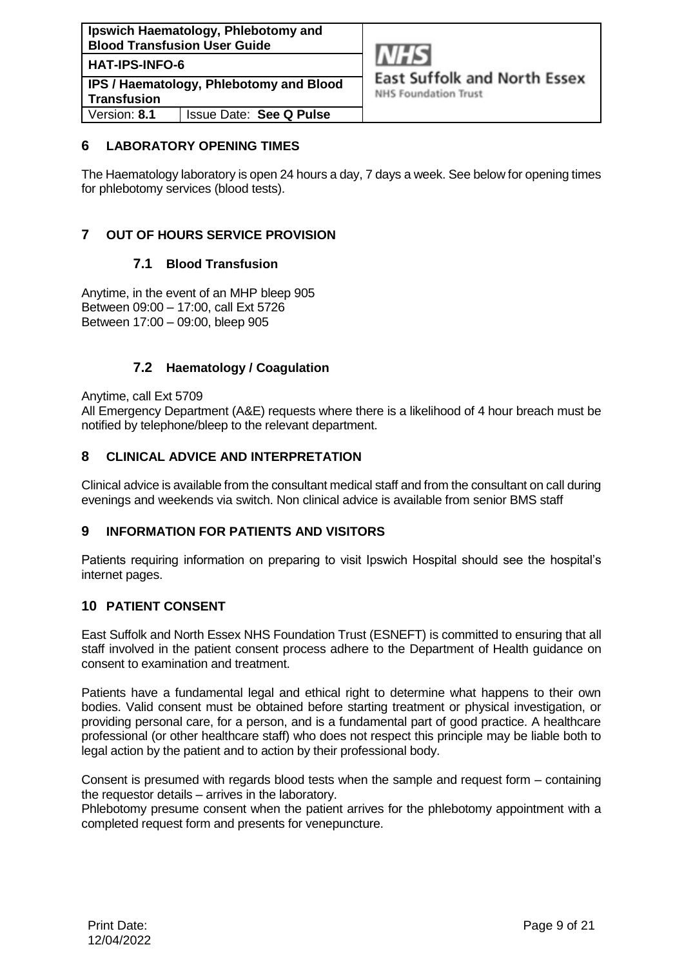**Ipswich Haematology, Phlebotomy and Blood Transfusion User Guide HAT-IPS-INFO-6 IPS / Haematology, Phlebotomy and Blood Transfusion** Version: **8.1** Issue Date: **See Q Pulse**



**NHS Foundation Trust** 

#### <span id="page-8-0"></span>**6 LABORATORY OPENING TIMES**

The Haematology laboratory is open 24 hours a day, 7 days a week. See below for opening times for phlebotomy services (blood tests).

# <span id="page-8-1"></span>**7 OUT OF HOURS SERVICE PROVISION**

#### **7.1 Blood Transfusion**

<span id="page-8-2"></span>Anytime, in the event of an MHP bleep 905 Between 09:00 – 17:00, call Ext 5726 Between 17:00 – 09:00, bleep 905

#### **7.2 Haematology / Coagulation**

<span id="page-8-3"></span>Anytime, call Ext 5709

All Emergency Department (A&E) requests where there is a likelihood of 4 hour breach must be notified by telephone/bleep to the relevant department.

#### <span id="page-8-4"></span>**8 CLINICAL ADVICE AND INTERPRETATION**

Clinical advice is available from the consultant medical staff and from the consultant on call during evenings and weekends via switch. Non clinical advice is available from senior BMS staff

#### <span id="page-8-5"></span>**9 INFORMATION FOR PATIENTS AND VISITORS**

Patients requiring information on preparing to visit Ipswich Hospital should see the hospital's internet pages.

#### <span id="page-8-6"></span>**10 PATIENT CONSENT**

East Suffolk and North Essex NHS Foundation Trust (ESNEFT) is committed to ensuring that all staff involved in the patient consent process adhere to the Department of Health guidance on consent to examination and treatment.

Patients have a fundamental legal and ethical right to determine what happens to their own bodies. Valid consent must be obtained before starting treatment or physical investigation, or providing personal care, for a person, and is a fundamental part of good practice. A healthcare professional (or other healthcare staff) who does not respect this principle may be liable both to legal action by the patient and to action by their professional body.

Consent is presumed with regards blood tests when the sample and request form – containing the requestor details – arrives in the laboratory.

Phlebotomy presume consent when the patient arrives for the phlebotomy appointment with a completed request form and presents for venepuncture.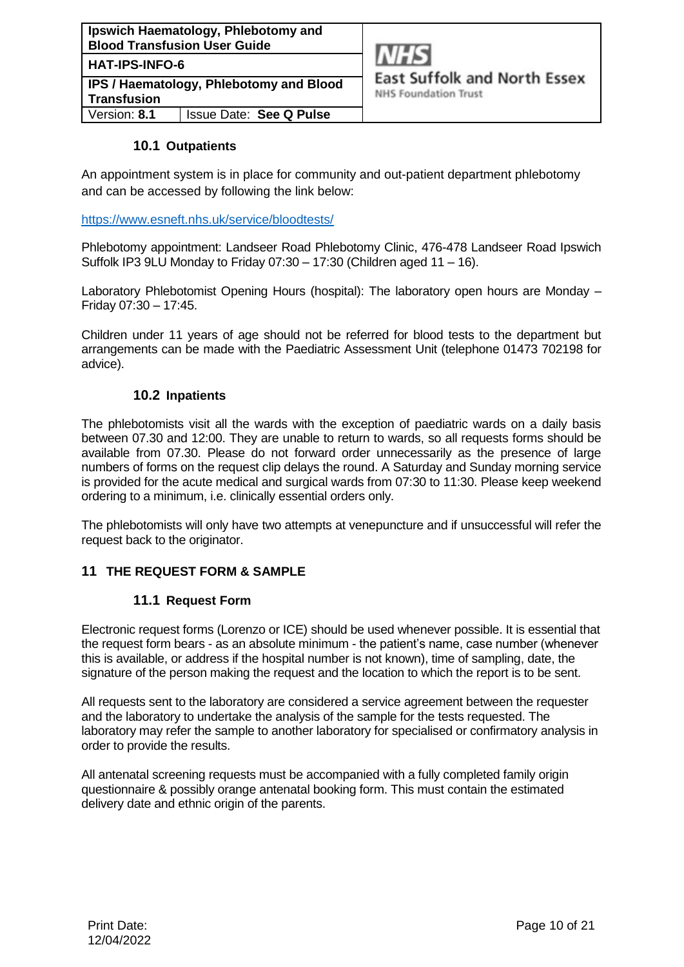| Ipswich Haematology, Phlebotomy and<br><b>Blood Transfusion User Guide</b> |                         |  |
|----------------------------------------------------------------------------|-------------------------|--|
| <b>HAT-IPS-INFO-6</b>                                                      |                         |  |
| <b>IPS / Haematology, Phlebotomy and Blood</b><br><b>Transfusion</b>       |                         |  |
| Version: 8.1                                                               | Issue Date: See Q Pulse |  |



## **10.1 Outpatients**

<span id="page-9-0"></span>An appointment system is in place for community and out-patient department phlebotomy and can be accessed by following the link below:

<https://www.esneft.nhs.uk/service/bloodtests/>

Phlebotomy appointment: Landseer Road Phlebotomy Clinic, 476-478 Landseer Road Ipswich Suffolk IP3 9LU Monday to Friday  $07:30 - 17:30$  (Children aged  $11 - 16$ ).

Laboratory Phlebotomist Opening Hours (hospital): The laboratory open hours are Monday -Friday 07:30 – 17:45.

<span id="page-9-1"></span>Children under 11 years of age should not be referred for blood tests to the department but arrangements can be made with the Paediatric Assessment Unit (telephone 01473 702198 for advice).

#### **10.2 Inpatients**

The phlebotomists visit all the wards with the exception of paediatric wards on a daily basis between 07.30 and 12:00. They are unable to return to wards, so all requests forms should be available from 07.30. Please do not forward order unnecessarily as the presence of large numbers of forms on the request clip delays the round. A Saturday and Sunday morning service is provided for the acute medical and surgical wards from 07:30 to 11:30. Please keep weekend ordering to a minimum, i.e. clinically essential orders only.

The phlebotomists will only have two attempts at venepuncture and if unsuccessful will refer the request back to the originator.

#### <span id="page-9-3"></span><span id="page-9-2"></span>**11 THE REQUEST FORM & SAMPLE**

#### **11.1 Request Form**

Electronic request forms (Lorenzo or ICE) should be used whenever possible. It is essential that the request form bears - as an absolute minimum - the patient's name, case number (whenever this is available, or address if the hospital number is not known), time of sampling, date, the signature of the person making the request and the location to which the report is to be sent.

All requests sent to the laboratory are considered a service agreement between the requester and the laboratory to undertake the analysis of the sample for the tests requested. The laboratory may refer the sample to another laboratory for specialised or confirmatory analysis in order to provide the results.

All antenatal screening requests must be accompanied with a fully completed family origin questionnaire & possibly orange antenatal booking form. This must contain the estimated delivery date and ethnic origin of the parents.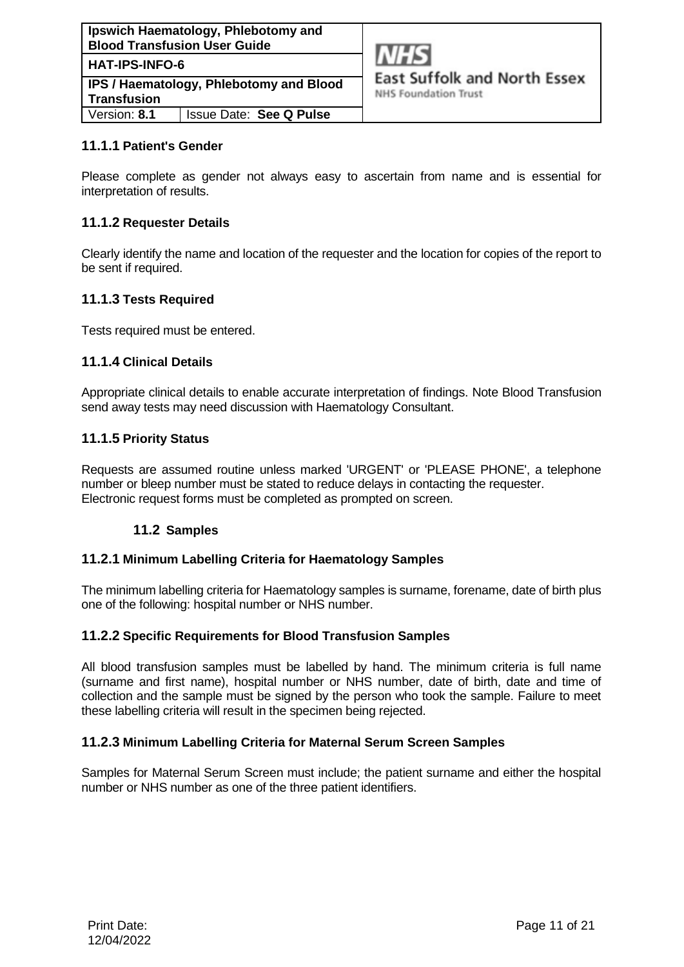

**East Suffolk and North Essex** 

**NHS Foundation Trust** 

## **11.1.1 Patient's Gender**

Please complete as gender not always easy to ascertain from name and is essential for interpretation of results.

## **11.1.2 Requester Details**

Clearly identify the name and location of the requester and the location for copies of the report to be sent if required.

## **11.1.3 Tests Required**

Tests required must be entered.

#### **11.1.4 Clinical Details**

Appropriate clinical details to enable accurate interpretation of findings. Note Blood Transfusion send away tests may need discussion with Haematology Consultant.

#### **11.1.5 Priority Status**

<span id="page-10-0"></span>Requests are assumed routine unless marked 'URGENT' or 'PLEASE PHONE', a telephone number or bleep number must be stated to reduce delays in contacting the requester. Electronic request forms must be completed as prompted on screen.

# **11.2 Samples**

#### **11.2.1 Minimum Labelling Criteria for Haematology Samples**

The minimum labelling criteria for Haematology samples is surname, forename, date of birth plus one of the following: hospital number or NHS number.

#### **11.2.2 Specific Requirements for Blood Transfusion Samples**

All blood transfusion samples must be labelled by hand. The minimum criteria is full name (surname and first name), hospital number or NHS number, date of birth, date and time of collection and the sample must be signed by the person who took the sample. Failure to meet these labelling criteria will result in the specimen being rejected.

#### **11.2.3 Minimum Labelling Criteria for Maternal Serum Screen Samples**

Samples for Maternal Serum Screen must include; the patient surname and either the hospital number or NHS number as one of the three patient identifiers.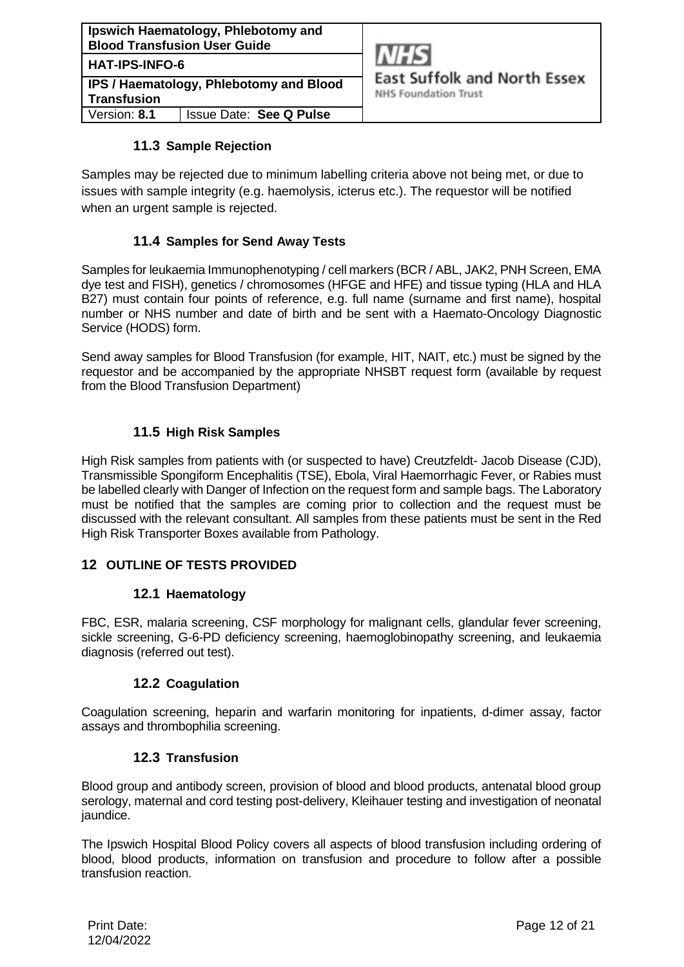| Ipswich Haematology, Phlebotomy and<br><b>Blood Transfusion User Guide</b> |                                |  |
|----------------------------------------------------------------------------|--------------------------------|--|
| <b>HAT-IPS-INFO-6</b>                                                      |                                |  |
| <b>IPS / Haematology, Phlebotomy and Blood</b><br><b>Transfusion</b>       |                                |  |
| Version: 8.1                                                               | <b>Issue Date: See Q Pulse</b> |  |



# **11.3 Sample Rejection**

<span id="page-11-0"></span>Samples may be rejected due to minimum labelling criteria above not being met, or due to issues with sample integrity (e.g. haemolysis, icterus etc.). The requestor will be notified when an urgent sample is rejected.

# **11.4 Samples for Send Away Tests**

<span id="page-11-1"></span>Samples for leukaemia Immunophenotyping / cell markers (BCR / ABL, JAK2, PNH Screen, EMA dye test and FISH), genetics / chromosomes (HFGE and HFE) and tissue typing (HLA and HLA B27) must contain four points of reference, e.g. full name (surname and first name), hospital number or NHS number and date of birth and be sent with a Haemato-Oncology Diagnostic Service (HODS) form.

Send away samples for Blood Transfusion (for example, HIT, NAIT, etc.) must be signed by the requestor and be accompanied by the appropriate NHSBT request form (available by request from the Blood Transfusion Department)

# **11.5 High Risk Samples**

<span id="page-11-2"></span>High Risk samples from patients with (or suspected to have) Creutzfeldt- Jacob Disease (CJD), Transmissible Spongiform Encephalitis (TSE), Ebola, Viral Haemorrhagic Fever, or Rabies must be labelled clearly with Danger of Infection on the request form and sample bags. The Laboratory must be notified that the samples are coming prior to collection and the request must be discussed with the relevant consultant. All samples from these patients must be sent in the Red High Risk Transporter Boxes available from Pathology.

#### <span id="page-11-3"></span>**12 OUTLINE OF TESTS PROVIDED**

#### **12.1 Haematology**

<span id="page-11-5"></span><span id="page-11-4"></span>FBC, ESR, malaria screening, CSF morphology for malignant cells, glandular fever screening, sickle screening, G-6-PD deficiency screening, haemoglobinopathy screening, and leukaemia diagnosis (referred out test).

#### **12.2 Coagulation**

<span id="page-11-6"></span>Coagulation screening, heparin and warfarin monitoring for inpatients, d-dimer assay, factor assays and thrombophilia screening.

#### **12.3 Transfusion**

Blood group and antibody screen, provision of blood and blood products, antenatal blood group serology, maternal and cord testing post-delivery, Kleihauer testing and investigation of neonatal jaundice.

The Ipswich Hospital Blood Policy covers all aspects of blood transfusion including ordering of blood, blood products, information on transfusion and procedure to follow after a possible transfusion reaction.

Print Date: 12/04/2022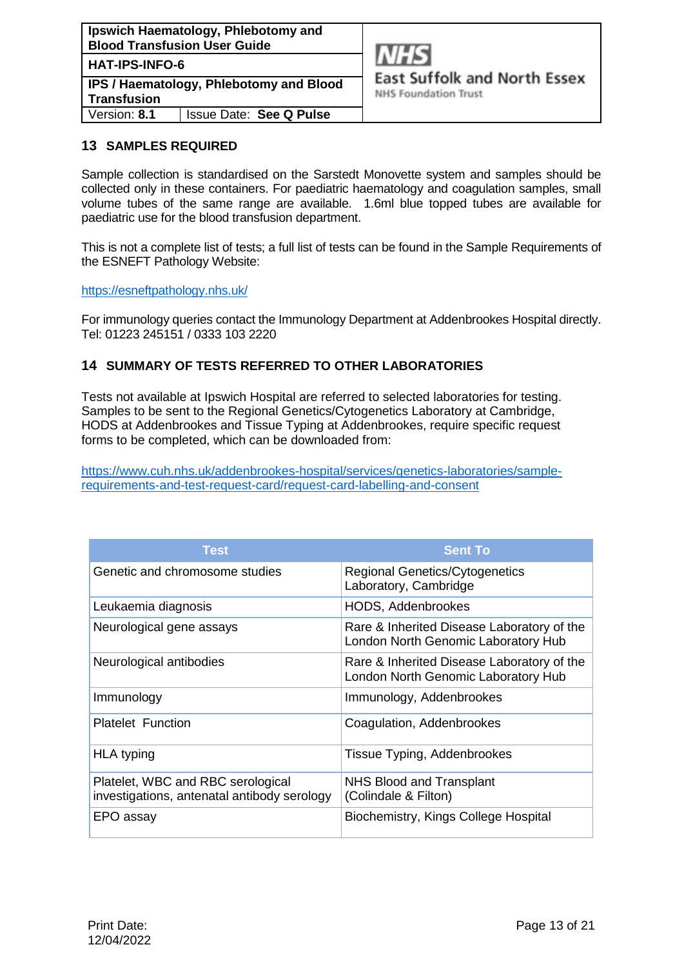

**East Suffolk and North Essex** 

**NHS Foundation Trust** 

## <span id="page-12-0"></span>**13 SAMPLES REQUIRED**

Sample collection is standardised on the Sarstedt Monovette system and samples should be collected only in these containers. For paediatric haematology and coagulation samples, small volume tubes of the same range are available. 1.6ml blue topped tubes are available for paediatric use for the blood transfusion department.

This is not a complete list of tests; a full list of tests can be found in the Sample Requirements of the ESNEFT Pathology Website:

<https://esneftpathology.nhs.uk/>

For immunology queries contact the Immunology Department at Addenbrookes Hospital directly. Tel: 01223 245151 / 0333 103 2220

# <span id="page-12-1"></span>**14 SUMMARY OF TESTS REFERRED TO OTHER LABORATORIES**

Tests not available at Ipswich Hospital are referred to selected laboratories for testing. Samples to be sent to the Regional Genetics/Cytogenetics Laboratory at Cambridge, HODS at Addenbrookes and Tissue Typing at Addenbrookes, require specific request forms to be completed, which can be downloaded from:

[https://www.cuh.nhs.uk/addenbrookes-hospital/services/genetics-laboratories/sample](https://www.cuh.nhs.uk/addenbrookes-hospital/services/genetics-laboratories/sample-requirements-and-test-request-card/request-card-labelling-and-consent)[requirements-and-test-request-card/request-card-labelling-and-consent](https://www.cuh.nhs.uk/addenbrookes-hospital/services/genetics-laboratories/sample-requirements-and-test-request-card/request-card-labelling-and-consent)

| Test                                                                             | <b>Sent To</b>                                                                    |
|----------------------------------------------------------------------------------|-----------------------------------------------------------------------------------|
| Genetic and chromosome studies                                                   | <b>Regional Genetics/Cytogenetics</b><br>Laboratory, Cambridge                    |
| Leukaemia diagnosis                                                              | <b>HODS, Addenbrookes</b>                                                         |
| Neurological gene assays                                                         | Rare & Inherited Disease Laboratory of the<br>London North Genomic Laboratory Hub |
| Neurological antibodies                                                          | Rare & Inherited Disease Laboratory of the<br>London North Genomic Laboratory Hub |
| Immunology                                                                       | Immunology, Addenbrookes                                                          |
| <b>Platelet Function</b>                                                         | Coagulation, Addenbrookes                                                         |
| <b>HLA</b> typing                                                                | Tissue Typing, Addenbrookes                                                       |
| Platelet, WBC and RBC serological<br>investigations, antenatal antibody serology | NHS Blood and Transplant<br>(Colindale & Filton)                                  |
| EPO assay                                                                        | Biochemistry, Kings College Hospital                                              |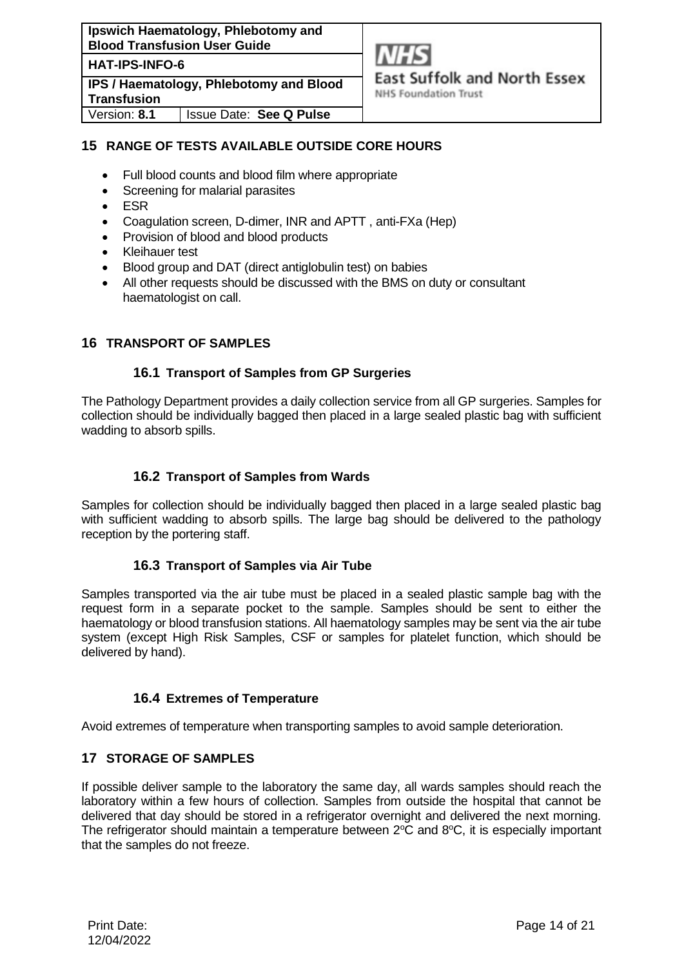**Ipswich Haematology, Phlebotomy and Blood Transfusion User Guide**

**HAT-IPS-INFO-6**

**IPS / Haematology, Phlebotomy and Blood Transfusion**



**East Suffolk and North Essex** 

**NHS Foundation Trust** 

Version: **8.1** Issue Date: **See Q Pulse**

# <span id="page-13-0"></span>**15 RANGE OF TESTS AVAILABLE OUTSIDE CORE HOURS**

- Full blood counts and blood film where appropriate
- Screening for malarial parasites
- ESR
- Coagulation screen, D-dimer, INR and APTT , anti-FXa (Hep)
- Provision of blood and blood products
- Kleihauer test
- Blood group and DAT (direct antiglobulin test) on babies
- All other requests should be discussed with the BMS on duty or consultant haematologist on call.

# <span id="page-13-1"></span>**16 TRANSPORT OF SAMPLES**

## **16.1 Transport of Samples from GP Surgeries**

<span id="page-13-2"></span>The Pathology Department provides a daily collection service from all GP surgeries. Samples for collection should be individually bagged then placed in a large sealed plastic bag with sufficient wadding to absorb spills.

# **16.2 Transport of Samples from Wards**

<span id="page-13-4"></span><span id="page-13-3"></span>Samples for collection should be individually bagged then placed in a large sealed plastic bag with sufficient wadding to absorb spills. The large bag should be delivered to the pathology reception by the portering staff.

# **16.3 Transport of Samples via Air Tube**

Samples transported via the air tube must be placed in a sealed plastic sample bag with the request form in a separate pocket to the sample. Samples should be sent to either the haematology or blood transfusion stations. All haematology samples may be sent via the air tube system (except High Risk Samples, CSF or samples for platelet function, which should be delivered by hand).

#### **16.4 Extremes of Temperature**

<span id="page-13-6"></span><span id="page-13-5"></span>Avoid extremes of temperature when transporting samples to avoid sample deterioration.

# **17 STORAGE OF SAMPLES**

If possible deliver sample to the laboratory the same day, all wards samples should reach the laboratory within a few hours of collection. Samples from outside the hospital that cannot be delivered that day should be stored in a refrigerator overnight and delivered the next morning. The refrigerator should maintain a temperature between  $2^{\circ}\text{C}$  and  $8^{\circ}\text{C}$ , it is especially important that the samples do not freeze.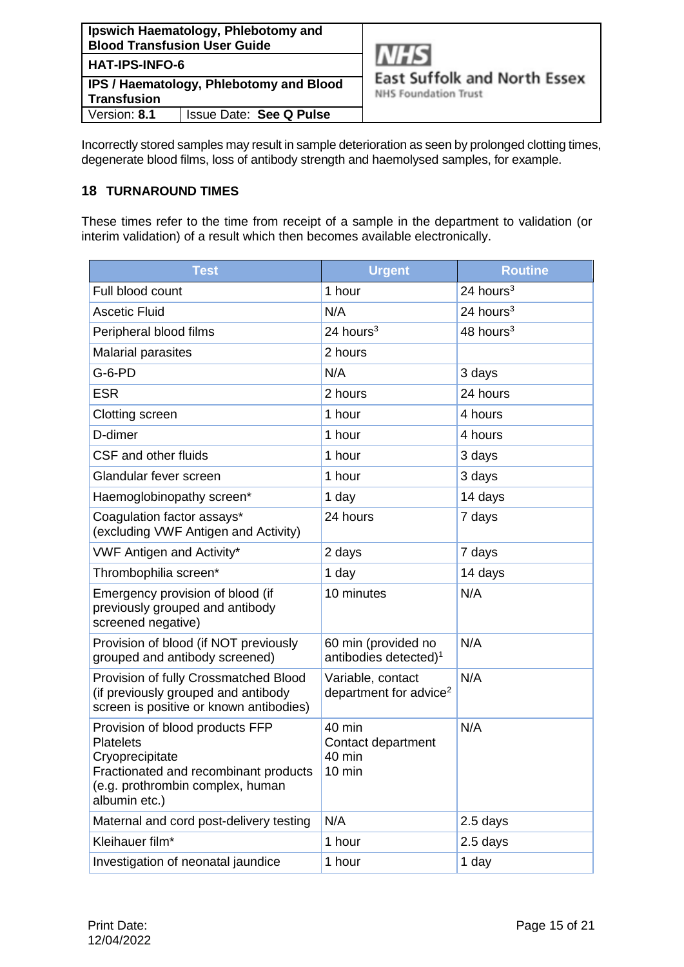

Incorrectly stored samples may result in sample deterioration as seen by prolonged clotting times, degenerate blood films, loss of antibody strength and haemolysed samples, for example.

# <span id="page-14-0"></span>**18 TURNAROUND TIMES**

These times refer to the time from receipt of a sample in the department to validation (or interim validation) of a result which then becomes available electronically.

| <b>Test</b>                                                                                                                                                          | <b>Urgent</b>                                              | <b>Routine</b> |
|----------------------------------------------------------------------------------------------------------------------------------------------------------------------|------------------------------------------------------------|----------------|
| Full blood count                                                                                                                                                     | 1 hour                                                     | 24 hours $3$   |
| <b>Ascetic Fluid</b>                                                                                                                                                 | N/A                                                        | 24 hours $3$   |
| Peripheral blood films                                                                                                                                               | 24 hours $3$                                               | 48 hours $3$   |
| <b>Malarial parasites</b>                                                                                                                                            | 2 hours                                                    |                |
| $G-6-PD$                                                                                                                                                             | N/A                                                        | 3 days         |
| <b>ESR</b>                                                                                                                                                           | 2 hours                                                    | 24 hours       |
| Clotting screen                                                                                                                                                      | 1 hour                                                     | 4 hours        |
| D-dimer                                                                                                                                                              | 1 hour                                                     | 4 hours        |
| CSF and other fluids                                                                                                                                                 | 1 hour                                                     | 3 days         |
| Glandular fever screen                                                                                                                                               | 1 hour                                                     | 3 days         |
| Haemoglobinopathy screen*                                                                                                                                            | 1 day                                                      | 14 days        |
| Coagulation factor assays*<br>(excluding VWF Antigen and Activity)                                                                                                   | 24 hours                                                   | 7 days         |
| <b>VWF Antigen and Activity*</b>                                                                                                                                     | 2 days                                                     | 7 days         |
| Thrombophilia screen*                                                                                                                                                | 1 day                                                      | 14 days        |
| Emergency provision of blood (if<br>previously grouped and antibody<br>screened negative)                                                                            | 10 minutes                                                 | N/A            |
| Provision of blood (if NOT previously<br>grouped and antibody screened)                                                                                              | 60 min (provided no<br>antibodies detected) <sup>1</sup>   | N/A            |
| Provision of fully Crossmatched Blood<br>(if previously grouped and antibody<br>screen is positive or known antibodies)                                              | Variable, contact<br>department for advice <sup>2</sup>    | N/A            |
| Provision of blood products FFP<br><b>Platelets</b><br>Cryoprecipitate<br>Fractionated and recombinant products<br>(e.g. prothrombin complex, human<br>albumin etc.) | 40 min<br>Contact department<br>40 min<br>$10 \text{ min}$ | N/A            |
| Maternal and cord post-delivery testing                                                                                                                              | N/A                                                        | 2.5 days       |
| Kleihauer film*                                                                                                                                                      | 1 hour                                                     | 2.5 days       |
| Investigation of neonatal jaundice                                                                                                                                   | 1 hour                                                     | 1 day          |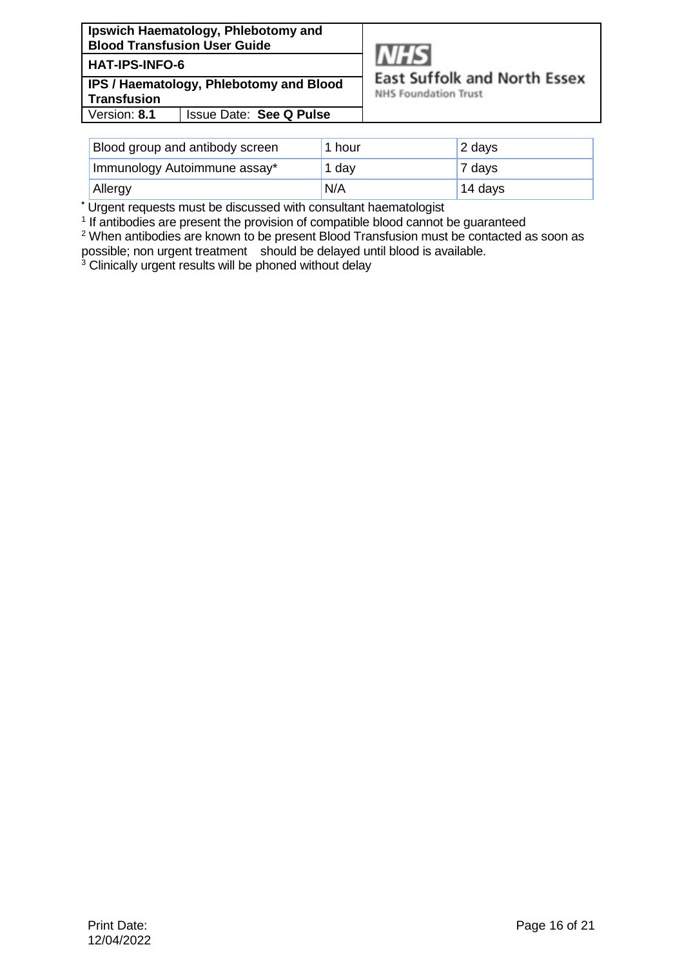# **HAT-IPS-INFO-6**

**IPS / Haematology, Phlebotomy and Blood Transfusion** Version: **8.1** Issue Date: **See Q Pulse**



**East Suffolk and North Essex** 

**NHS Foundation Trust** 

| <b>Blood group and antibody screen</b> | 1 hour | 2 days  |
|----------------------------------------|--------|---------|
| Immunology Autoimmune assay*           | 1 dav  | 7 days  |
| Allergy                                | N/A    | 14 days |

**\*** Urgent requests must be discussed with consultant haematologist

<sup>1</sup> If antibodies are present the provision of compatible blood cannot be guaranteed

<sup>2</sup> When antibodies are known to be present Blood Transfusion must be contacted as soon as possible; non urgent treatment should be delayed until blood is available.

<sup>3</sup> Clinically urgent results will be phoned without delay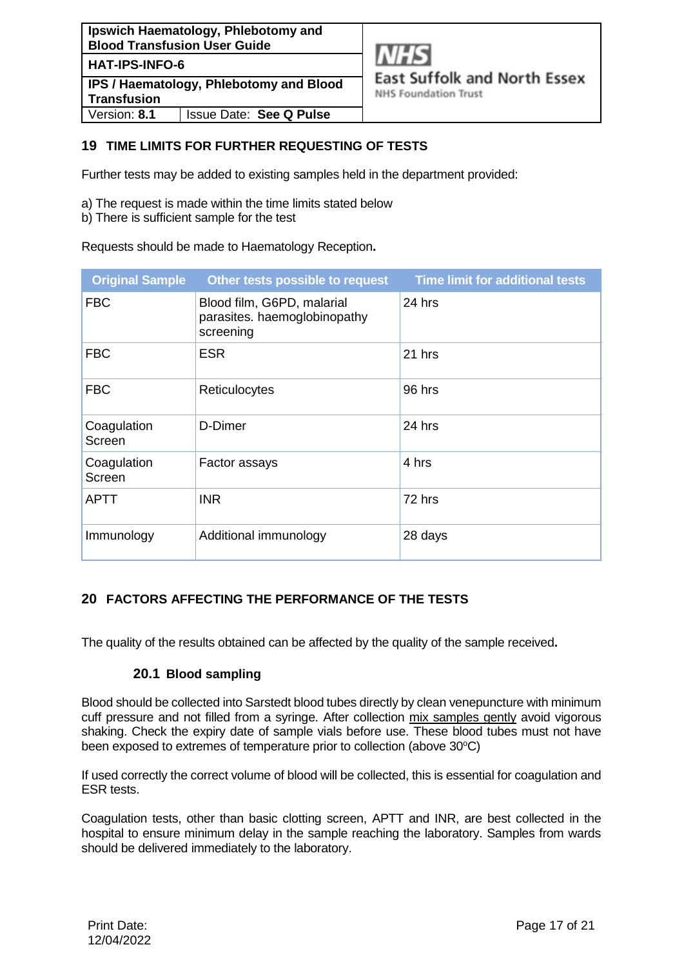

# <span id="page-16-0"></span>**19 TIME LIMITS FOR FURTHER REQUESTING OF TESTS**

Further tests may be added to existing samples held in the department provided:

- a) The request is made within the time limits stated below
- b) There is sufficient sample for the test

Requests should be made to Haematology Reception**.** 

| <b>Original Sample</b> | Other tests possible to request                                         | <b>Time limit for additional tests</b> |
|------------------------|-------------------------------------------------------------------------|----------------------------------------|
| <b>FBC</b>             | Blood film, G6PD, malarial<br>parasites. haemoglobinopathy<br>screening | $24$ hrs                               |
| <b>FBC</b>             | <b>ESR</b>                                                              | 21 hrs                                 |
| <b>FBC</b>             | Reticulocytes                                                           | 96 hrs                                 |
| Coagulation<br>Screen  | D-Dimer                                                                 | 24 hrs                                 |
| Coagulation<br>Screen  | Factor assays                                                           | 4 hrs                                  |
| <b>APTT</b>            | <b>INR</b>                                                              | 72 hrs                                 |
| Immunology             | Additional immunology                                                   | 28 days                                |

# <span id="page-16-1"></span>**20 FACTORS AFFECTING THE PERFORMANCE OF THE TESTS**

<span id="page-16-2"></span>The quality of the results obtained can be affected by the quality of the sample received**.** 

#### **20.1 Blood sampling**

Blood should be collected into Sarstedt blood tubes directly by clean venepuncture with minimum cuff pressure and not filled from a syringe. After collection mix samples gently avoid vigorous shaking. Check the expiry date of sample vials before use. These blood tubes must not have been exposed to extremes of temperature prior to collection (above 30°C)

If used correctly the correct volume of blood will be collected, this is essential for coagulation and ESR tests.

Coagulation tests, other than basic clotting screen, APTT and INR, are best collected in the hospital to ensure minimum delay in the sample reaching the laboratory. Samples from wards should be delivered immediately to the laboratory.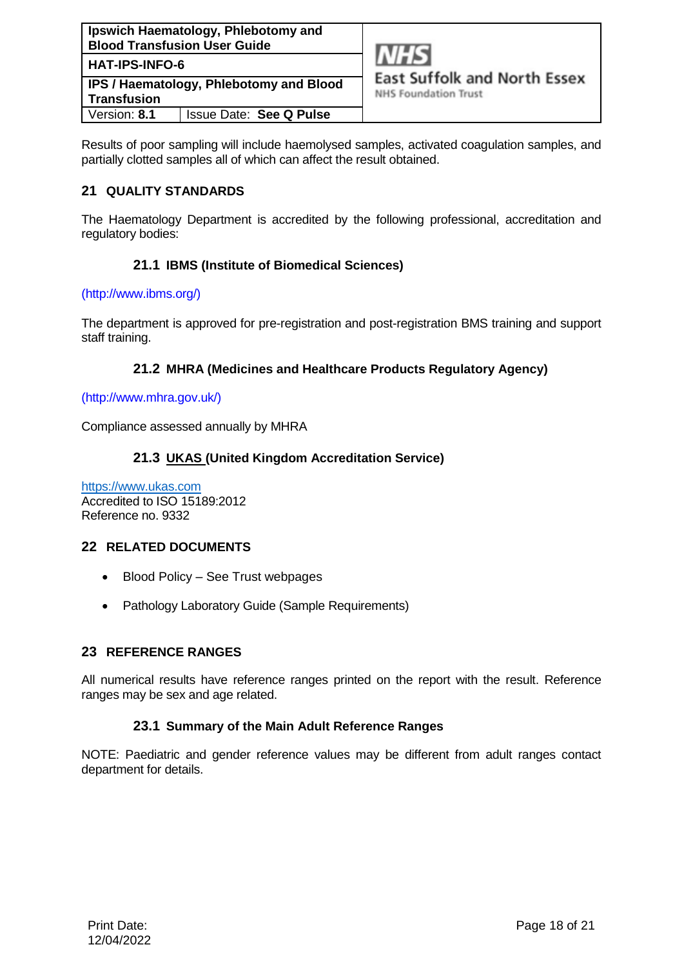

**NHS Foundation Trust** 

Results of poor sampling will include haemolysed samples, activated coagulation samples, and partially clotted samples all of which can affect the result obtained.

# <span id="page-17-0"></span>**21 QUALITY STANDARDS**

<span id="page-17-1"></span>The Haematology Department is accredited by the following professional, accreditation and regulatory bodies:

# **21.1 IBMS (Institute of Biomedical Sciences)**

#### [\(http://www.ibms.org/\)](http://www.ibms.org/)

<span id="page-17-2"></span>The department is approved for pre-registration and post-registration BMS training and support staff training.

# **21.2 MHRA (Medicines and Healthcare Products Regulatory Agency)**

#### [\(http://www.mhra.gov.uk/\)](http://www.mhra.gov.uk/)

Compliance assessed annually by MHRA

# <span id="page-17-3"></span>**21.3 UKAS (United Kingdom Accreditation Service)**

[https://www.ukas.com](https://www.ukas.com/) Accredited to ISO 15189:2012 Reference no. 9332

# <span id="page-17-4"></span>**22 RELATED DOCUMENTS**

- Blood Policy See Trust webpages
- Pathology Laboratory Guide (Sample Requirements)

# <span id="page-17-5"></span>**23 REFERENCE RANGES**

<span id="page-17-6"></span>All numerical results have reference ranges printed on the report with the result. Reference ranges may be sex and age related.

#### **23.1 Summary of the Main Adult Reference Ranges**

NOTE: Paediatric and gender reference values may be different from adult ranges contact department for details.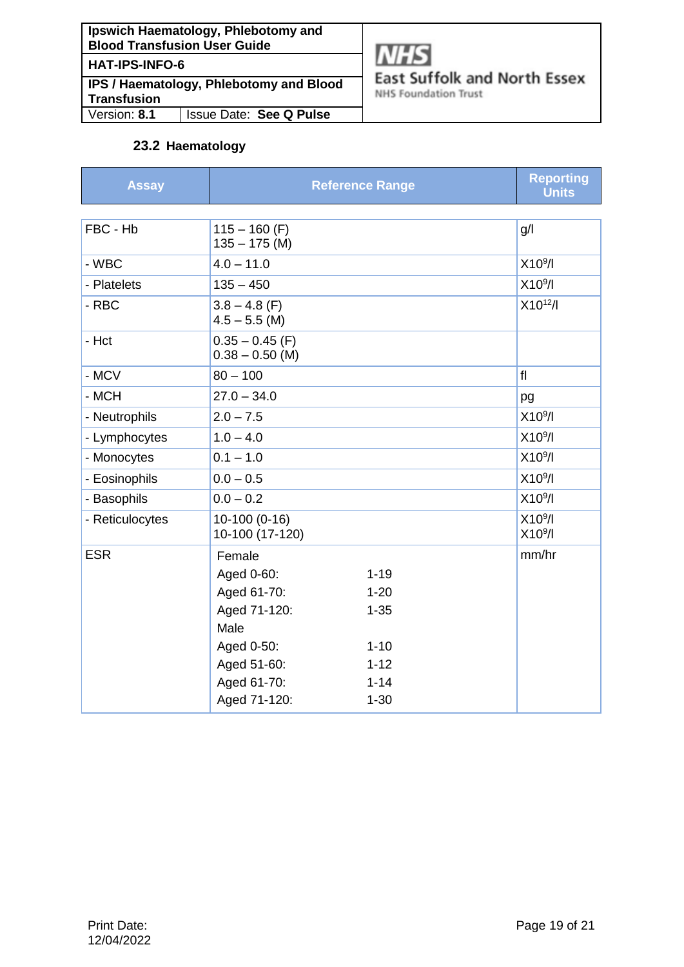| Ipswich Haematology, Phlebotomy and |
|-------------------------------------|
| <b>Blood Transfusion User Guide</b> |
| <b>HAT-IPS-INFO-6</b>               |

**IPS / Haematology, Phlebotomy and Blood Transfusion**<br>Version: **8.1** Version: **8.1** Issue Date: **See Q Pulse**



**East Suffolk and North Essex** 

**NHS Foundation Trust** 

# **23.2 Haematology**

<span id="page-18-0"></span>

| <b>Assay</b>    |                                        | <b>Reference Range</b> | <b>Reporting</b><br><b>Units</b>           |
|-----------------|----------------------------------------|------------------------|--------------------------------------------|
|                 |                                        |                        |                                            |
| FBC - Hb        | $115 - 160$ (F)<br>$135 - 175$ (M)     |                        | g/l                                        |
| - WBC           | $4.0 - 11.0$                           |                        | X10 <sup>9</sup> /I                        |
| - Platelets     | $135 - 450$                            |                        | X10 <sup>9</sup> /I                        |
| - RBC           | $3.8 - 4.8$ (F)<br>$4.5 - 5.5$ (M)     |                        | $X10^{12}/I$                               |
| - Hct           | $0.35 - 0.45$ (F)<br>$0.38 - 0.50$ (M) |                        |                                            |
| - MCV           | $80 - 100$                             |                        | f                                          |
| - MCH           | $27.0 - 34.0$                          |                        | pg                                         |
| - Neutrophils   | $2.0 - 7.5$                            |                        | X10 <sup>9</sup> /I                        |
| - Lymphocytes   | $1.0 - 4.0$                            |                        | X10 <sup>9</sup> /I                        |
| - Monocytes     | $0.1 - 1.0$                            |                        | X10 <sup>9</sup> /I                        |
| - Eosinophils   | $0.0 - 0.5$                            |                        | X10 <sup>9</sup> /I                        |
| - Basophils     | $0.0 - 0.2$                            |                        | X10 <sup>9</sup> /I                        |
| - Reticulocytes | 10-100 (0-16)<br>10-100 (17-120)       |                        | X10 <sup>9</sup> /I<br>X10 <sup>9</sup> /I |
| <b>ESR</b>      | Female                                 |                        | mm/hr                                      |
|                 | Aged 0-60:                             | $1 - 19$               |                                            |
|                 | Aged 61-70:                            | $1 - 20$               |                                            |
|                 | Aged 71-120:                           | $1 - 35$               |                                            |
|                 | Male                                   |                        |                                            |
|                 | Aged 0-50:                             | $1 - 10$               |                                            |
|                 | Aged 51-60:                            | $1 - 12$               |                                            |
|                 | Aged 61-70:<br>Aged 71-120:            | $1 - 14$<br>$1 - 30$   |                                            |
|                 |                                        |                        |                                            |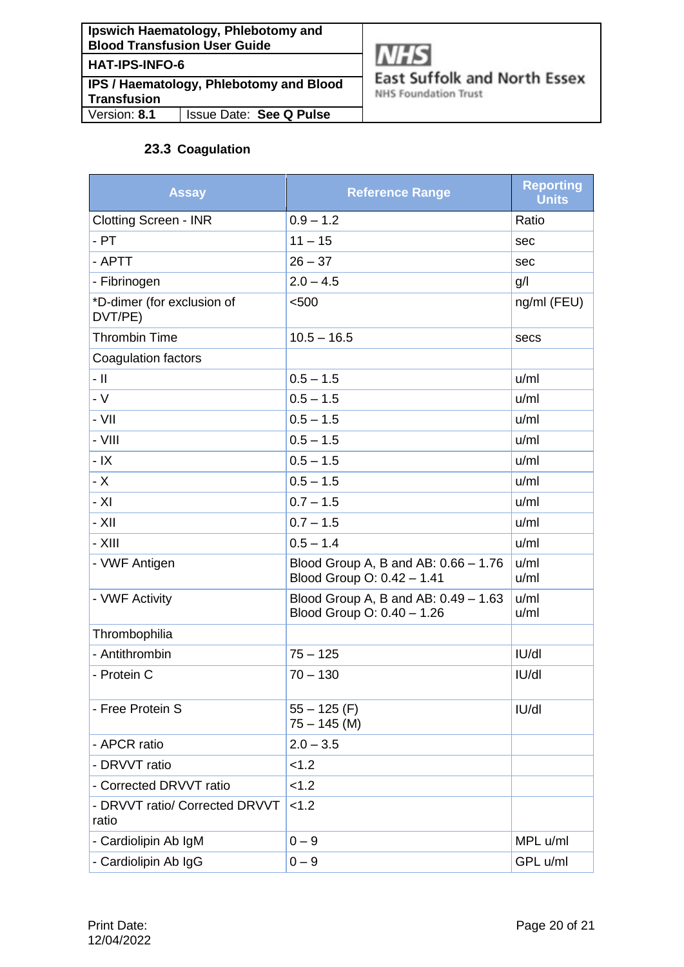| Ipswich Haematology, Phlebotomy and<br><b>Blood Transfusion User Guide</b> |
|----------------------------------------------------------------------------|
| <b>HAT-IPS-INFO-6</b>                                                      |
| IPS / Haematology, Phlebotomy and Blood<br><b>Transfusion</b>              |

Version: **8.1** Issue Date: **See Q Pulse**



**East Suffolk and North Essex** 

**NHS Foundation Trust** 

# **23.3 Coagulation**

<span id="page-19-0"></span>

| <b>Assay</b>                            | <b>Reference Range</b>                                               | <b>Reporting</b><br><b>Units</b> |
|-----------------------------------------|----------------------------------------------------------------------|----------------------------------|
| <b>Clotting Screen - INR</b>            | $0.9 - 1.2$                                                          | Ratio                            |
| $-$ PT                                  | $11 - 15$                                                            | sec                              |
| - APTT                                  | $26 - 37$                                                            | sec                              |
| - Fibrinogen                            | $2.0 - 4.5$                                                          | g/l                              |
| *D-dimer (for exclusion of<br>DVT/PE)   | < 500                                                                | ng/ml (FEU)                      |
| <b>Thrombin Time</b>                    | $10.5 - 16.5$                                                        | secs                             |
| Coagulation factors                     |                                                                      |                                  |
| - 11                                    | $0.5 - 1.5$                                                          | u/ml                             |
| $- V$                                   | $0.5 - 1.5$                                                          | u/ml                             |
| - VII                                   | $0.5 - 1.5$                                                          | u/ml                             |
| $-$ VIII                                | $0.5 - 1.5$                                                          | u/ml                             |
| $-IX$                                   | $0.5 - 1.5$                                                          | u/ml                             |
| $- X$                                   | $0.5 - 1.5$                                                          | u/ml                             |
| $- XI$                                  | $0.7 - 1.5$                                                          | u/ml                             |
| $-$ XII                                 | $0.7 - 1.5$                                                          | u/ml                             |
| - XIII                                  | $0.5 - 1.4$                                                          | u/ml                             |
| - VWF Antigen                           | Blood Group A, B and AB: 0.66 - 1.76<br>Blood Group O: 0.42 - 1.41   | u/ml<br>u/ml                     |
| - VWF Activity                          | Blood Group A, B and AB: $0.49 - 1.63$<br>Blood Group O: 0.40 - 1.26 | u/ml<br>u/ml                     |
| Thrombophilia                           |                                                                      |                                  |
| - Antithrombin                          | $75 - 125$                                                           | I <sub>U</sub> /dl               |
| - Protein C                             | $70 - 130$                                                           | IU/dI                            |
| - Free Protein S                        | $55 - 125$ (F)<br>$75 - 145$ (M)                                     | I <sub>U</sub> /dl               |
| - APCR ratio                            | $2.0 - 3.5$                                                          |                                  |
| - DRVVT ratio                           | < 1.2                                                                |                                  |
| - Corrected DRVVT ratio                 | < 1.2                                                                |                                  |
| - DRVVT ratio/ Corrected DRVVT<br>ratio | < 1.2                                                                |                                  |
| - Cardiolipin Ab IgM                    | $0 - 9$                                                              | MPL u/ml                         |
| - Cardiolipin Ab IgG                    | $0 - 9$                                                              | GPL u/ml                         |